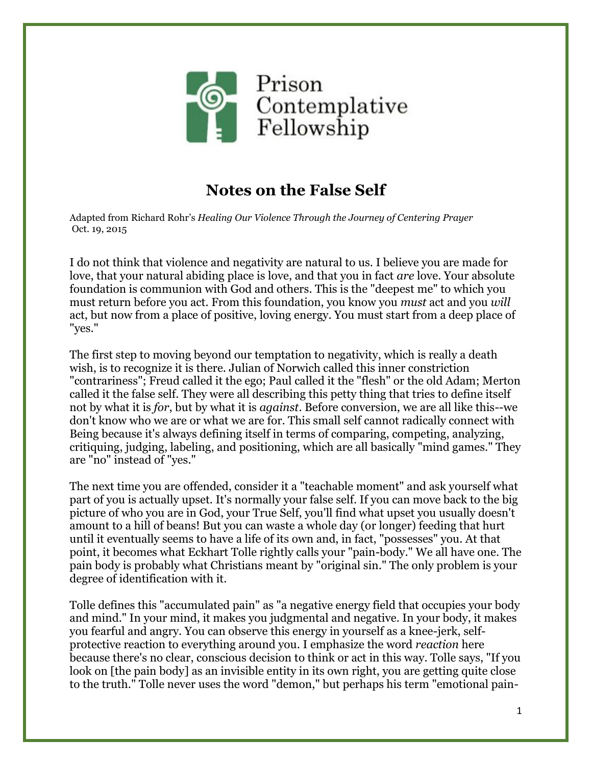

## **Notes on the False Self**

Adapted from Richard Rohr's *Healing Our Violence Through the Journey of Centering Prayer* Oct. 19, 2015

I do not think that violence and negativity are natural to us. I believe you are made for love, that your natural abiding place is love, and that you in fact *are* love. Your absolute foundation is communion with God and others. This is the "deepest me" to which you must return before you act. From this foundation, you know you *must* act and you *will* act, but now from a place of positive, loving energy. You must start from a deep place of "yes."

The first step to moving beyond our temptation to negativity, which is really a death wish, is to recognize it is there. Julian of Norwich called this inner constriction "contrariness"; Freud called it the ego; Paul called it the "flesh" or the old Adam; Merton called it the false self. They were all describing this petty thing that tries to define itself not by what it is *for*, but by what it is *against*. Before conversion, we are all like this--we don't know who we are or what we are for. This small self cannot radically connect with Being because it's always defining itself in terms of comparing, competing, analyzing, critiquing, judging, labeling, and positioning, which are all basically "mind games." They are "no" instead of "yes."

The next time you are offended, consider it a "teachable moment" and ask yourself what part of you is actually upset. It's normally your false self. If you can move back to the big picture of who you are in God, your True Self, you'll find what upset you usually doesn't amount to a hill of beans! But you can waste a whole day (or longer) feeding that hurt until it eventually seems to have a life of its own and, in fact, "possesses" you. At that point, it becomes what Eckhart Tolle rightly calls your "pain-body." We all have one. The pain body is probably what Christians meant by "original sin." The only problem is your degree of identification with it.

Tolle defines this "accumulated pain" as "a negative energy field that occupies your body and mind." In your mind, it makes you judgmental and negative. In your body, it makes you fearful and angry. You can observe this energy in yourself as a knee-jerk, selfprotective reaction to everything around you. I emphasize the word *reaction* here because there's no clear, conscious decision to think or act in this way. Tolle says, "If you look on [the pain body] as an invisible entity in its own right, you are getting quite close to the truth." Tolle never uses the word "demon," but perhaps his term "emotional pain-